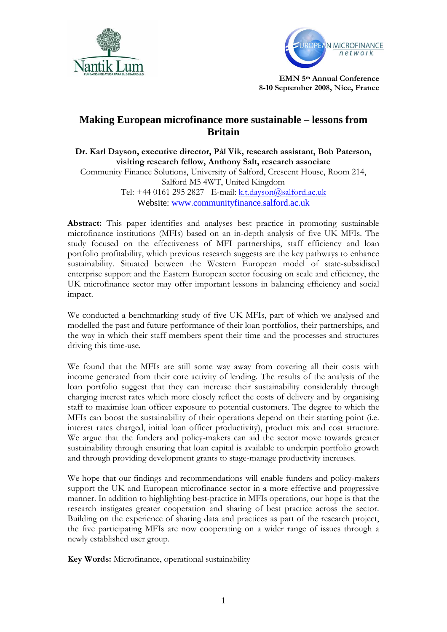



# **Making European microfinance more sustainable – lessons from Britain**

**Dr. Karl Dayson, executive director, Pål Vik, research assistant, Bob Paterson, visiting research fellow, Anthony Salt, research associate**

Community Finance Solutions, University of Salford, Crescent House, Room 214, Salford M5 4WT, United Kingdom Tel: +44 0161 295 2827 E-mail: [k.t.dayson@salford.ac.uk](mailto:k.t.dayson@salford.ac.uk)

Website: [www.communityfinance.salford.ac.uk](http://www.communityfinance.salford.ac.uk/)

Abstract: This paper identifies and analyses best practice in promoting sustainable microfinance institutions (MFIs) based on an in-depth analysis of five UK MFIs. The study focused on the effectiveness of MFI partnerships, staff efficiency and loan portfolio profitability, which previous research suggests are the key pathways to enhance sustainability. Situated between the Western European model of state-subsidised enterprise support and the Eastern European sector focusing on scale and efficiency, the UK microfinance sector may offer important lessons in balancing efficiency and social impact.

We conducted a benchmarking study of five UK MFIs, part of which we analysed and modelled the past and future performance of their loan portfolios, their partnerships, and the way in which their staff members spent their time and the processes and structures driving this time-use.

We found that the MFIs are still some way away from covering all their costs with income generated from their core activity of lending. The results of the analysis of the loan portfolio suggest that they can increase their sustainability considerably through charging interest rates which more closely reflect the costs of delivery and by organising staff to maximise loan officer exposure to potential customers. The degree to which the MFIs can boost the sustainability of their operations depend on their starting point (i.e. interest rates charged, initial loan officer productivity), product mix and cost structure. We argue that the funders and policy-makers can aid the sector move towards greater sustainability through ensuring that loan capital is available to underpin portfolio growth and through providing development grants to stage-manage productivity increases.

We hope that our findings and recommendations will enable funders and policy-makers support the UK and European microfinance sector in a more effective and progressive manner. In addition to highlighting best-practice in MFIs operations, our hope is that the research instigates greater cooperation and sharing of best practice across the sector. Building on the experience of sharing data and practices as part of the research project, the five participating MFIs are now cooperating on a wider range of issues through a newly established user group.

**Key Words:** Microfinance, operational sustainability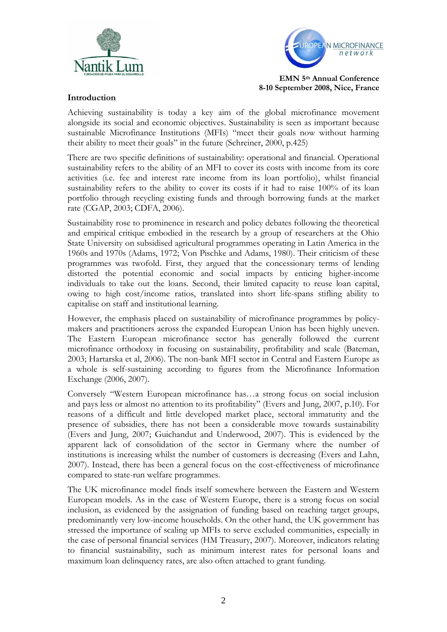



## **Introduction**

Achieving sustainability is today a key aim of the global microfinance movement alongside its social and economic objectives. Sustainability is seen as important because sustainable Microfinance Institutions (MFIs) "meet their goals now without harming their ability to meet their goals" in the future (Schreiner, 2000, p.425)

There are two specific definitions of sustainability: operational and financial. Operational sustainability refers to the ability of an MFI to cover its costs with income from its core activities (i.e. fee and interest rate income from its loan portfolio), whilst financial sustainability refers to the ability to cover its costs if it had to raise 100% of its loan portfolio through recycling existing funds and through borrowing funds at the market rate (CGAP, 2003; CDFA, 2006).

Sustainability rose to prominence in research and policy debates following the theoretical and empirical critique embodied in the research by a group of researchers at the Ohio State University on subsidised agricultural programmes operating in Latin America in the 1960s and 1970s (Adams, 1972; Von Pischke and Adams, 1980). Their criticism of these programmes was twofold. First, they argued that the concessionary terms of lending distorted the potential economic and social impacts by enticing higher-income individuals to take out the loans. Second, their limited capacity to reuse loan capital, owing to high cost/income ratios, translated into short life-spans stifling ability to capitalise on staff and institutional learning.

However, the emphasis placed on sustainability of microfinance programmes by policymakers and practitioners across the expanded European Union has been highly uneven. The Eastern European microfinance sector has generally followed the current microfinance orthodoxy in focusing on sustainability, profitability and scale (Bateman, 2003; Hartarska et al, 2006). The non-bank MFI sector in Central and Eastern Europe as a whole is self-sustaining according to figures from the Microfinance Information Exchange (2006, 2007).

Conversely "Western European microfinance has…a strong focus on social inclusion and pays less or almost no attention to its profitability" (Evers and Jung, 2007, p.10). For reasons of a difficult and little developed market place, sectoral immaturity and the presence of subsidies, there has not been a considerable move towards sustainability (Evers and Jung, 2007; Guichandut and Underwood, 2007). This is evidenced by the apparent lack of consolidation of the sector in Germany where the number of institutions is increasing whilst the number of customers is decreasing (Evers and Lahn, 2007). Instead, there has been a general focus on the cost-effectiveness of microfinance compared to state-run welfare programmes.

The UK microfinance model finds itself somewhere between the Eastern and Western European models. As in the case of Western Europe, there is a strong focus on social inclusion, as evidenced by the assignation of funding based on reaching target groups, predominantly very low-income households. On the other hand, the UK government has stressed the importance of scaling up MFIs to serve excluded communities, especially in the case of personal financial services (HM Treasury, 2007). Moreover, indicators relating to financial sustainability, such as minimum interest rates for personal loans and maximum loan delinquency rates, are also often attached to grant funding.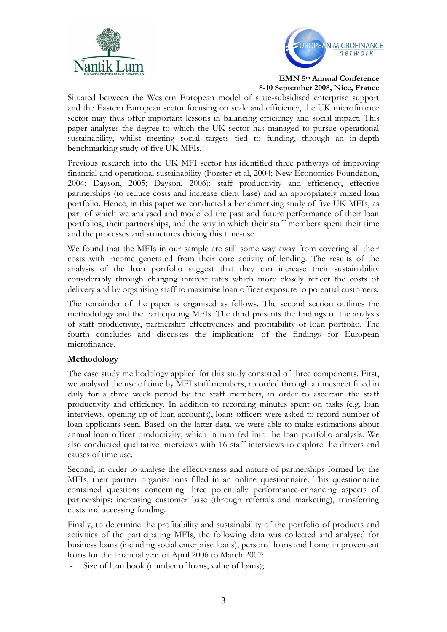



Situated between the Western European model of state-subsidised enterprise support and the Eastern European sector focusing on scale and efficiency, the UK microfinance sector may thus offer important lessons in balancing efficiency and social impact. This paper analyses the degree to which the UK sector has managed to pursue operational sustainability, whilst meeting social targets tied to funding, through an in-depth benchmarking study of five UK MFIs.

Previous research into the UK MFI sector has identified three pathways of improving financial and operational sustainability (Forster et al, 2004; New Economics Foundation, 2004; Dayson, 2005; Dayson, 2006): staff productivity and efficiency, effective partnerships (to reduce costs and increase client base) and an appropriately mixed loan portfolio. Hence, in this paper we conducted a benchmarking study of five UK MFIs, as part of which we analysed and modelled the past and future performance of their loan portfolios, their partnerships, and the way in which their staff members spent their time and the processes and structures driving this time-use.

We found that the MFIs in our sample are still some way away from covering all their costs with income generated from their core activity of lending. The results of the analysis of the loan portfolio suggest that they can increase their sustainability considerably through charging interest rates which more closely reflect the costs of delivery and by organising staff to maximise loan officer exposure to potential customers.

The remainder of the paper is organised as follows. The second section outlines the methodology and the participating MFIs. The third presents the findings of the analysis of staff productivity, partnership effectiveness and profitability of loan portfolio. The fourth concludes and discusses the implications of the findings for European microfinance.

# **Methodology**

The case study methodology applied for this study consisted of three components. First, we analysed the use of time by MFI staff members, recorded through a timesheet filled in daily for a three week period by the staff members, in order to ascertain the staff productivity and efficiency. In addition to recording minutes spent on tasks (e.g. loan interviews, opening up of loan accounts), loans officers were asked to record number of loan applicants seen. Based on the latter data, we were able to make estimations about annual loan officer productivity, which in turn fed into the loan portfolio analysis. We also conducted qualitative interviews with 16 staff interviews to explore the drivers and causes of time use.

Second, in order to analyse the effectiveness and nature of partnerships formed by the MFIs, their partner organisations filled in an online questionnaire. This questionnaire contained questions concerning three potentially performance-enhancing aspects of partnerships: increasing customer base (through referrals and marketing), transferring costs and accessing funding.

Finally, to determine the profitability and sustainability of the portfolio of products and activities of the participating MFIs, the following data was collected and analysed for business loans (including social enterprise loans), personal loans and home improvement loans for the financial year of April 2006 to March 2007:

Size of loan book (number of loans, value of loans);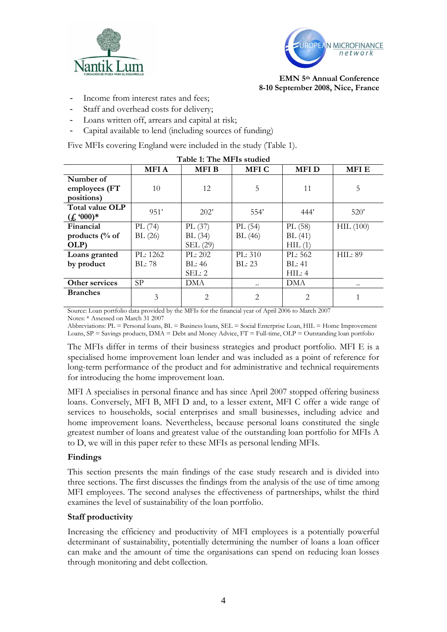



- Income from interest rates and fees;
- Staff and overhead costs for delivery;
- Loans written off, arrears and capital at risk;
- Capital available to lend (including sources of funding)

Five MFIs covering England were included in the study (Table 1).

|                           |             | Table 1. The MI 13 stadied |             |               |                |
|---------------------------|-------------|----------------------------|-------------|---------------|----------------|
|                           | <b>MFIA</b> | <b>MFIB</b>                | <b>MFIC</b> | <b>MFID</b>   | <b>MFIE</b>    |
| Number of                 |             |                            |             |               |                |
| employees (FT             | 10          | 12                         | 5           | 11            | 5              |
| positions)                |             |                            |             |               |                |
| Total value OLP           | 951'        | 202'                       | 554'        | 444'          | 520'           |
| $(f_{\star}(000)*$        |             |                            |             |               |                |
| Financial                 | PL(74)      | PL $(37)$                  | PL(54)      | PL (58)       | HIL(100)       |
| products $\frac{0}{0}$ of | BL(26)      | BL(34)                     | BL(46)      | BL(41)        |                |
| OLP)                      |             | SEL (29)                   |             | HIL(1)        |                |
| Loans granted             | PL: 1262    | PL: 202                    | PL: 310     | PL: 562       | <b>HIL: 89</b> |
| by product                | BL:78       | BL: 46                     | BI: 23      | <b>BL: 41</b> |                |
|                           |             | SEL: 2                     |             | HIL: 4        |                |
| Other services            | <b>SP</b>   | DMA                        |             | <b>DMA</b>    | $\ddotsc$      |
| <b>Branches</b>           | 3           | 2                          | 2           | $\mathcal{L}$ |                |
|                           |             |                            |             |               |                |

Source: Loan portfolio data provided by the MFIs for the financial year of April 2006 to March 2007 Notes: \* Assessed on March 31 2007

Abbreviations: PL = Personal loans, BL = Business loans, SEL = Social Enterprise Loan, HIL = Home Improvement Loans, SP = Savings products, DMA = Debt and Money Advice, FT = Full-time, OLP = Outstanding loan portfolio

The MFIs differ in terms of their business strategies and product portfolio. MFI E is a specialised home improvement loan lender and was included as a point of reference for long-term performance of the product and for administrative and technical requirements for introducing the home improvement loan.

MFI A specialises in personal finance and has since April 2007 stopped offering business loans. Conversely, MFI B, MFI D and, to a lesser extent, MFI C offer a wide range of services to households, social enterprises and small businesses, including advice and home improvement loans. Nevertheless, because personal loans constituted the single greatest number of loans and greatest value of the outstanding loan portfolio for MFIs A to D, we will in this paper refer to these MFIs as personal lending MFIs.

#### **Findings**

This section presents the main findings of the case study research and is divided into three sections. The first discusses the findings from the analysis of the use of time among MFI employees. The second analyses the effectiveness of partnerships, whilst the third examines the level of sustainability of the loan portfolio.

## **Staff productivity**

Increasing the efficiency and productivity of MFI employees is a potentially powerful determinant of sustainability, potentially determining the number of loans a loan officer can make and the amount of time the organisations can spend on reducing loan losses through monitoring and debt collection.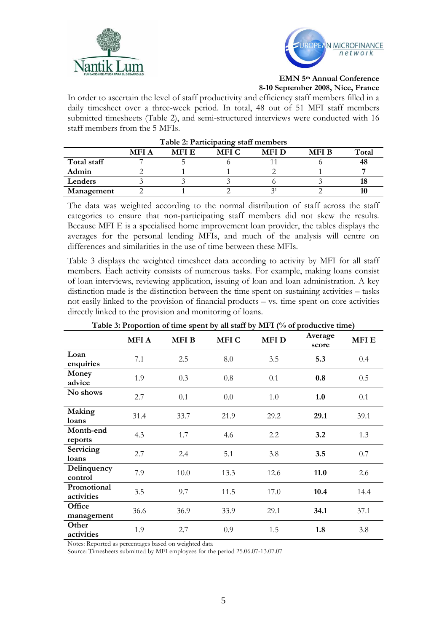



In order to ascertain the level of staff productivity and efficiency staff members filled in a daily timesheet over a three-week period. In total, 48 out of 51 MFI staff members submitted timesheets (Table 2), and semi-structured interviews were conducted with 16 staff members from the 5 MFIs.

| I able 2: Participating stall inembers |             |              |             |             |             |       |
|----------------------------------------|-------------|--------------|-------------|-------------|-------------|-------|
|                                        | <b>MFIA</b> | <b>MFI E</b> | <b>MFIC</b> | <b>MFID</b> | <b>MFIB</b> | Total |
| Total staff                            |             |              |             |             |             | 48    |
| Admin                                  |             |              |             |             |             |       |
| Lenders                                |             |              |             |             |             |       |
| Management                             |             |              |             |             |             |       |

**Table 2: Participating staff members**

# The data was weighted according to the normal distribution of staff across the staff categories to ensure that non-participating staff members did not skew the results. Because MFI E is a specialised home improvement loan provider, the tables displays the averages for the personal lending MFIs, and much of the analysis will centre on

differences and similarities in the use of time between these MFIs.

Table 3 displays the weighted timesheet data according to activity by MFI for all staff members. Each activity consists of numerous tasks. For example, making loans consist of loan interviews, reviewing application, issuing of loan and loan administration. A key distinction made is the distinction between the time spent on sustaining activities – tasks not easily linked to the provision of financial products – vs. time spent on core activities directly linked to the provision and monitoring of loans.

| <b>Table 5. I reportion of three spent by an start by MTT (70 or productive three)</b> |             |             |             |             |                  |             |
|----------------------------------------------------------------------------------------|-------------|-------------|-------------|-------------|------------------|-------------|
|                                                                                        | <b>MFIA</b> | <b>MFIB</b> | <b>MFIC</b> | <b>MFID</b> | Average<br>score | <b>MFIE</b> |
| Loan<br>enquiries                                                                      | 7.1         | 2.5         | 8.0         | 3.5         | 5.3              | 0.4         |
| Money<br>advice                                                                        | 1.9         | 0.3         | 0.8         | 0.1         | 0.8              | 0.5         |
| No shows                                                                               | 2.7         | 0.1         | 0.0         | 1.0         | 1.0              | 0.1         |
| Making<br>loans                                                                        | 31.4        | 33.7        | 21.9        | 29.2        | 29.1             | 39.1        |
| Month-end<br>reports                                                                   | 4.3         | 1.7         | 4.6         | 2.2         | 3.2              | 1.3         |
| Servicing<br>loans                                                                     | 2.7         | 2.4         | 5.1         | 3.8         | 3.5              | 0.7         |
| Delinquency<br>control                                                                 | 7.9         | 10.0        | 13.3        | 12.6        | 11.0             | 2.6         |
| Promotional<br>activities                                                              | 3.5         | 9.7         | 11.5        | 17.0        | 10.4             | 14.4        |
| Office<br>management                                                                   | 36.6        | 36.9        | 33.9        | 29.1        | 34.1             | 37.1        |
| Other<br>activities                                                                    | 1.9         | 2.7         | 0.9         | 1.5         | 1.8              | 3.8         |

# **Table 3: Proportion of time spent by all staff by MFI (% of productive time)**

Notes: Reported as percentages based on weighted data

Source: Timesheets submitted by MFI employees for the period 25.06.07-13.07.07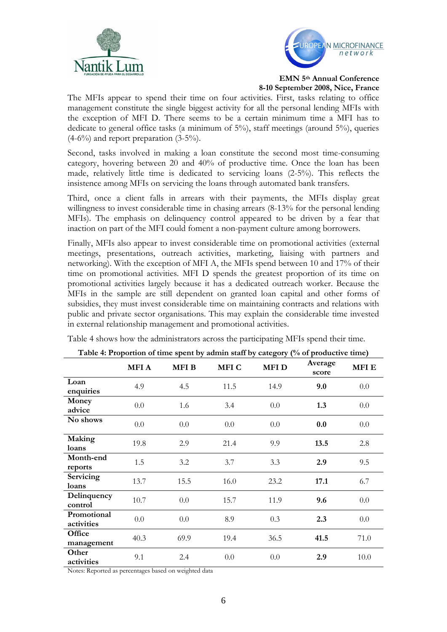



The MFIs appear to spend their time on four activities. First, tasks relating to office management constitute the single biggest activity for all the personal lending MFIs with the exception of MFI D. There seems to be a certain minimum time a MFI has to dedicate to general office tasks (a minimum of 5%), staff meetings (around 5%), queries  $(4-6\%)$  and report preparation  $(3-5\%)$ .

Second, tasks involved in making a loan constitute the second most time-consuming category, hovering between 20 and 40% of productive time. Once the loan has been made, relatively little time is dedicated to servicing loans (2-5%). This reflects the insistence among MFIs on servicing the loans through automated bank transfers.

Third, once a client falls in arrears with their payments, the MFIs display great willingness to invest considerable time in chasing arrears (8-13% for the personal lending MFIs). The emphasis on delinquency control appeared to be driven by a fear that inaction on part of the MFI could foment a non-payment culture among borrowers.

Finally, MFIs also appear to invest considerable time on promotional activities (external meetings, presentations, outreach activities, marketing, liaising with partners and networking). With the exception of MFI A, the MFIs spend between 10 and 17% of their time on promotional activities. MFI D spends the greatest proportion of its time on promotional activities largely because it has a dedicated outreach worker. Because the MFIs in the sample are still dependent on granted loan capital and other forms of subsidies, they must invest considerable time on maintaining contracts and relations with public and private sector organisations. This may explain the considerable time invested in external relationship management and promotional activities.

| Table 4: Proportion of time spent by admin staff by category (% of productive time) |             |             |       |             |                  |             |  |  |
|-------------------------------------------------------------------------------------|-------------|-------------|-------|-------------|------------------|-------------|--|--|
|                                                                                     | <b>MFIA</b> | <b>MFIB</b> | MFI C | <b>MFID</b> | Average<br>score | <b>MFIE</b> |  |  |
| Loan<br>enquiries                                                                   | 4.9         | 4.5         | 11.5  | 14.9        | 9.0              | 0.0         |  |  |
| Money<br>advice                                                                     | 0.0         | 1.6         | 3.4   | 0.0         | 1.3              | 0.0         |  |  |
| No shows                                                                            | 0.0         | 0.0         | 0.0   | 0.0         | 0.0              | 0.0         |  |  |
| Making<br>loans                                                                     | 19.8        | 2.9         | 21.4  | 9.9         | 13.5             | 2.8         |  |  |
| Month-end<br>reports                                                                | 1.5         | 3.2         | 3.7   | 3.3         | 2.9              | 9.5         |  |  |
| <b>Servicing</b><br>loans                                                           | 13.7        | 15.5        | 16.0  | 23.2        | 17.1             | 6.7         |  |  |
| Delinquency<br>control                                                              | 10.7        | 0.0         | 15.7  | 11.9        | 9.6              | 0.0         |  |  |
| Promotional<br>activities                                                           | 0.0         | 0.0         | 8.9   | 0.3         | 2.3              | 0.0         |  |  |
| Office<br>management                                                                | 40.3        | 69.9        | 19.4  | 36.5        | 41.5             | 71.0        |  |  |
| Other<br>activities                                                                 | 9.1         | 2.4         | 0.0   | 0.0         | 2.9              | 10.0        |  |  |

Table 4 shows how the administrators across the participating MFIs spend their time.

Notes: Reported as percentages based on weighted data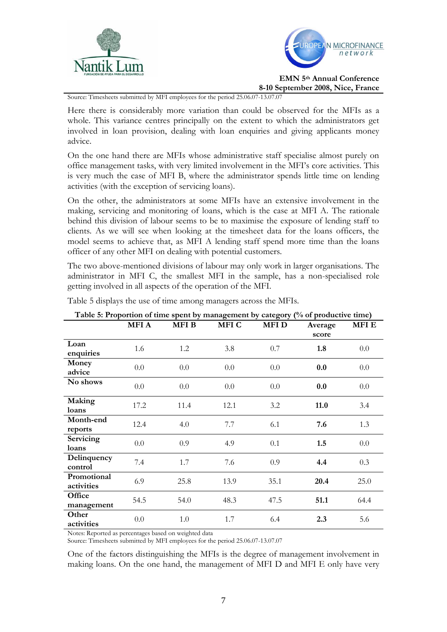



Source: Timesheets submitted by MFI employees for the period 25.06.07-13.07.07

Here there is considerably more variation than could be observed for the MFIs as a whole. This variance centres principally on the extent to which the administrators get involved in loan provision, dealing with loan enquiries and giving applicants money advice.

On the one hand there are MFIs whose administrative staff specialise almost purely on office management tasks, with very limited involvement in the MFI's core activities. This is very much the case of MFI B, where the administrator spends little time on lending activities (with the exception of servicing loans).

On the other, the administrators at some MFIs have an extensive involvement in the making, servicing and monitoring of loans, which is the case at MFI A. The rationale behind this division of labour seems to be to maximise the exposure of lending staff to clients. As we will see when looking at the timesheet data for the loans officers, the model seems to achieve that, as MFI A lending staff spend more time than the loans officer of any other MFI on dealing with potential customers.

The two above-mentioned divisions of labour may only work in larger organisations. The administrator in MFI C, the smallest MFI in the sample, has a non-specialised role getting involved in all aspects of the operation of the MFI.

| Table 5: Proportion of time spent by management by category (% of productive time) |             |             |             |             |         |             |  |  |
|------------------------------------------------------------------------------------|-------------|-------------|-------------|-------------|---------|-------------|--|--|
|                                                                                    | <b>MFIA</b> | <b>MFIB</b> | <b>MFIC</b> | <b>MFID</b> | Average | <b>MFIE</b> |  |  |
|                                                                                    |             |             |             |             | score   |             |  |  |
| Loan<br>enquiries                                                                  | 1.6         | 1.2         | 3.8         | 0.7         | 1.8     | 0.0         |  |  |
| Money<br>advice                                                                    | 0.0         | 0.0         | 0.0         | 0.0         | 0.0     | 0.0         |  |  |
| No shows                                                                           | 0.0         | 0.0         | 0.0         | 0.0         | 0.0     | 0.0         |  |  |
| Making<br>loans                                                                    | 17.2        | 11.4        | 12.1        | 3.2         | 11.0    | 3.4         |  |  |
| Month-end<br>reports                                                               | 12.4        | 4.0         | 7.7         | 6.1         | 7.6     | 1.3         |  |  |
| <b>Servicing</b><br>loans                                                          | 0.0         | 0.9         | 4.9         | 0.1         | 1.5     | $0.0\,$     |  |  |
| Delinquency<br>control                                                             | 7.4         | 1.7         | 7.6         | 0.9         | 4.4     | 0.3         |  |  |
| Promotional<br>activities                                                          | 6.9         | 25.8        | 13.9        | 35.1        | 20.4    | 25.0        |  |  |
| Office<br>management                                                               | 54.5        | 54.0        | 48.3        | 47.5        | 51.1    | 64.4        |  |  |
| Other<br>activities                                                                | 0.0         | 1.0         | 1.7         | 6.4         | 2.3     | 5.6         |  |  |

Table 5 displays the use of time among managers across the MFIs.

Notes: Reported as percentages based on weighted data

Source: Timesheets submitted by MFI employees for the period 25.06.07-13.07.07

One of the factors distinguishing the MFIs is the degree of management involvement in making loans. On the one hand, the management of MFI D and MFI E only have very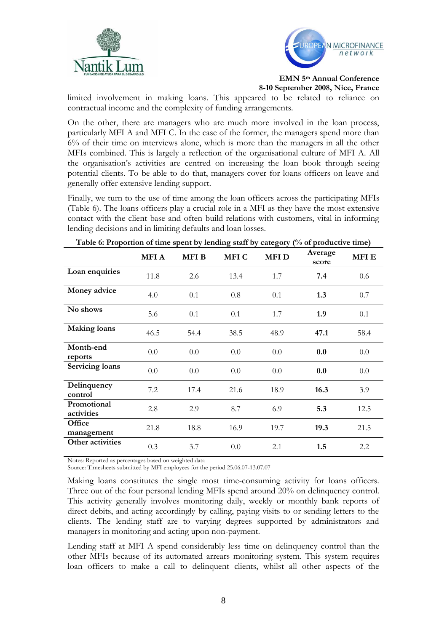



**EMN 5th Annual Conference** 

**8-10 September 2008, Nice, France**

limited involvement in making loans. This appeared to be related to reliance on contractual income and the complexity of funding arrangements.

On the other, there are managers who are much more involved in the loan process, particularly MFI A and MFI C. In the case of the former, the managers spend more than 6% of their time on interviews alone, which is more than the managers in all the other MFIs combined. This is largely a reflection of the organisational culture of MFI A. All the organisation's activities are centred on increasing the loan book through seeing potential clients. To be able to do that, managers cover for loans officers on leave and generally offer extensive lending support.

Finally, we turn to the use of time among the loan officers across the participating MFIs (Table 6). The loans officers play a crucial role in a MFI as they have the most extensive contact with the client base and often build relations with customers, vital in informing lending decisions and in limiting defaults and loan losses.

|                           | <b>MFIA</b> | <b>MFIB</b> | MFI C | <b>MFID</b> | Average<br>score | <b>MFIE</b> |
|---------------------------|-------------|-------------|-------|-------------|------------------|-------------|
| Loan enquiries            | 11.8        | 2.6         | 13.4  | 1.7         | 7.4              | 0.6         |
| Money advice              | 4.0         | 0.1         | 0.8   | 0.1         | 1.3              | 0.7         |
| No shows                  | 5.6         | 0.1         | 0.1   | 1.7         | 1.9              | 0.1         |
| <b>Making loans</b>       | 46.5        | 54.4        | 38.5  | 48.9        | 47.1             | 58.4        |
| Month-end<br>reports      | 0.0         | 0.0         | 0.0   | 0.0         | 0.0              | 0.0         |
| <b>Servicing loans</b>    | 0.0         | 0.0         | 0.0   | 0.0         | 0.0              | 0.0         |
| Delinquency<br>control    | 7.2         | 17.4        | 21.6  | 18.9        | 16.3             | 3.9         |
| Promotional<br>activities | 2.8         | 2.9         | 8.7   | 6.9         | 5.3              | 12.5        |
| Office<br>management      | 21.8        | 18.8        | 16.9  | 19.7        | 19.3             | 21.5        |
| Other activities          | 0.3         | 3.7         | 0.0   | 2.1         | 1.5              | 2.2         |

**Table 6: Proportion of time spent by lending staff by category (% of productive time)**

Notes: Reported as percentages based on weighted data

Source: Timesheets submitted by MFI employees for the period 25.06.07-13.07.07

Making loans constitutes the single most time-consuming activity for loans officers. Three out of the four personal lending MFIs spend around 20% on delinquency control. This activity generally involves monitoring daily, weekly or monthly bank reports of direct debits, and acting accordingly by calling, paying visits to or sending letters to the clients. The lending staff are to varying degrees supported by administrators and managers in monitoring and acting upon non-payment.

Lending staff at MFI A spend considerably less time on delinquency control than the other MFIs because of its automated arrears monitoring system. This system requires loan officers to make a call to delinquent clients, whilst all other aspects of the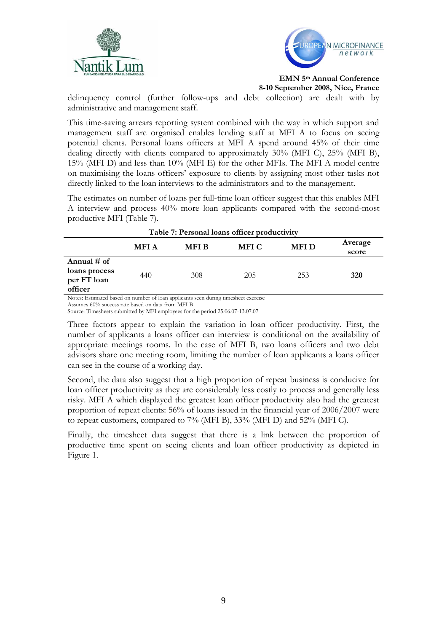



**EMN 5th Annual Conference** 

**8-10 September 2008, Nice, France**

delinquency control (further follow-ups and debt collection) are dealt with by administrative and management staff.

This time-saving arrears reporting system combined with the way in which support and management staff are organised enables lending staff at MFI A to focus on seeing potential clients. Personal loans officers at MFI A spend around 45% of their time dealing directly with clients compared to approximately 30% (MFI C), 25% (MFI B), 15% (MFI D) and less than 10% (MFI E) for the other MFIs. The MFI A model centre on maximising the loans officers' exposure to clients by assigning most other tasks not directly linked to the loan interviews to the administrators and to the management.

The estimates on number of loans per full-time loan officer suggest that this enables MFI A interview and process 40% more loan applicants compared with the second-most productive MFI (Table 7).

| Table 7. I crootial loans officer productivity           |             |             |              |             |                  |  |  |
|----------------------------------------------------------|-------------|-------------|--------------|-------------|------------------|--|--|
|                                                          | <b>MFIA</b> | <b>MFIB</b> | <b>MFI C</b> | <b>MFID</b> | Average<br>score |  |  |
| Annual $#$ of<br>loans process<br>per FT loan<br>officer | 440         | 308         | 205          | 253         | 320              |  |  |

**Table 7: Personal loans officer productivity**

Notes: Estimated based on number of loan applicants seen during timesheet exercise

Assumes 60% success rate based on data from MFI B

Source: Timesheets submitted by MFI employees for the period 25.06.07-13.07.07

Three factors appear to explain the variation in loan officer productivity. First, the number of applicants a loans officer can interview is conditional on the availability of appropriate meetings rooms. In the case of MFI B, two loans officers and two debt advisors share one meeting room, limiting the number of loan applicants a loans officer can see in the course of a working day.

Second, the data also suggest that a high proportion of repeat business is conducive for loan officer productivity as they are considerably less costly to process and generally less risky. MFI A which displayed the greatest loan officer productivity also had the greatest proportion of repeat clients: 56% of loans issued in the financial year of 2006/2007 were to repeat customers, compared to 7% (MFI B), 33% (MFI D) and 52% (MFI C).

Finally, the timesheet data suggest that there is a link between the proportion of productive time spent on seeing clients and loan officer productivity as depicted in Figure 1.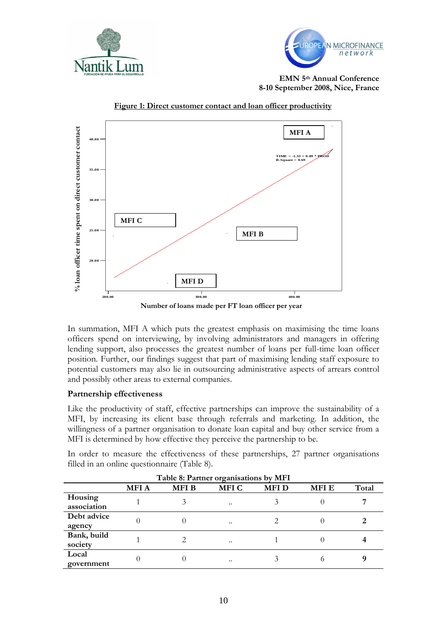





**Figure 1: Direct customer contact and loan officer productivity**

In summation, MFI A which puts the greatest emphasis on maximising the time loans officers spend on interviewing, by involving administrators and managers in offering lending support, also processes the greatest number of loans per full-time loan officer position. Further, our findings suggest that part of maximising lending staff exposure to potential customers may also lie in outsourcing administrative aspects of arrears control and possibly other areas to external companies.

## **Partnership effectiveness**

Like the productivity of staff, effective partnerships can improve the sustainability of a MFI, by increasing its client base through referrals and marketing. In addition, the willingness of a partner organisation to donate loan capital and buy other service from a MFI is determined by how effective they perceive the partnership to be.

In order to measure the effectiveness of these partnerships, 27 partner organisations filled in an online questionnaire (Table 8).

| Table 8: Partner organisations by MFI |             |             |             |             |             |       |  |
|---------------------------------------|-------------|-------------|-------------|-------------|-------------|-------|--|
|                                       | <b>MFIA</b> | <b>MFIB</b> | <b>MFIC</b> | <b>MFID</b> | <b>MFIE</b> | Total |  |
| Housing<br>association                |             |             |             |             |             |       |  |
| Debt advice<br>agency                 |             | 0           |             |             |             |       |  |
| Bank, build<br>society                |             |             |             |             |             |       |  |
| Local<br>government                   |             |             |             |             | $\Omega$    |       |  |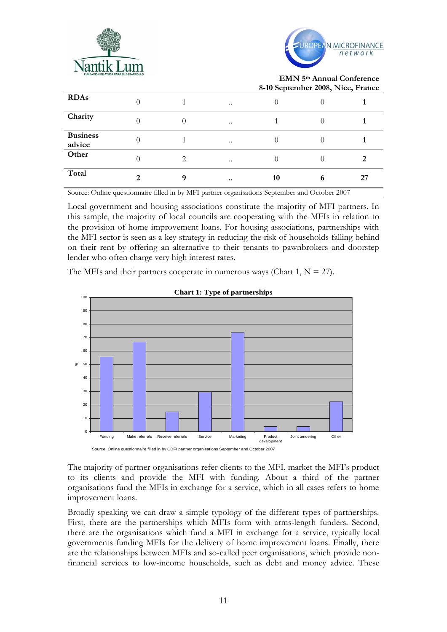



|                                    |   |   |                  |    | ------,----,- |    |
|------------------------------------|---|---|------------------|----|---------------|----|
| <b>RDAs</b>                        |   |   | $\ddotsc$        |    |               |    |
| Charity                            |   |   | $\ddotsc$        |    |               |    |
| <b>Business</b><br>advice          |   |   | $\ddotsc$        |    |               |    |
| Other                              |   | 2 | $\ddotsc$        |    |               |    |
| Total                              | റ |   | $\bullet\bullet$ | 10 | o             | 27 |
| $\sim$ $\sim$ $\sim$ $\sim$ $\sim$ |   |   |                  |    |               |    |

Source: Online questionnaire filled in by MFI partner organisations September and October 2007

Local government and housing associations constitute the majority of MFI partners. In this sample, the majority of local councils are cooperating with the MFIs in relation to the provision of home improvement loans. For housing associations, partnerships with the MFI sector is seen as a key strategy in reducing the risk of households falling behind on their rent by offering an alternative to their tenants to pawnbrokers and doorstep lender who often charge very high interest rates.

The MFIs and their partners cooperate in numerous ways (Chart 1,  $N = 27$ ).



#### **Chart 1: Type of partnerships**

The majority of partner organisations refer clients to the MFI, market the MFI's product to its clients and provide the MFI with funding. About a third of the partner organisations fund the MFIs in exchange for a service, which in all cases refers to home improvement loans.

Broadly speaking we can draw a simple typology of the different types of partnerships. First, there are the partnerships which MFIs form with arms-length funders. Second, there are the organisations which fund a MFI in exchange for a service, typically local governments funding MFIs for the delivery of home improvement loans. Finally, there are the relationships between MFIs and so-called peer organisations, which provide nonfinancial services to low-income households, such as debt and money advice. These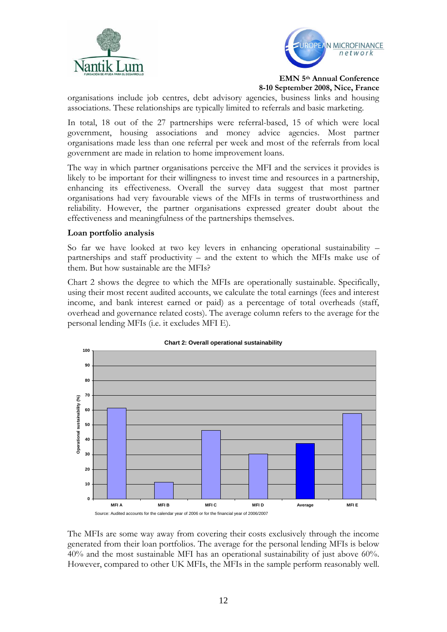



organisations include job centres, debt advisory agencies, business links and housing associations. These relationships are typically limited to referrals and basic marketing.

In total, 18 out of the 27 partnerships were referral-based, 15 of which were local government, housing associations and money advice agencies. Most partner organisations made less than one referral per week and most of the referrals from local government are made in relation to home improvement loans.

The way in which partner organisations perceive the MFI and the services it provides is likely to be important for their willingness to invest time and resources in a partnership, enhancing its effectiveness. Overall the survey data suggest that most partner organisations had very favourable views of the MFIs in terms of trustworthiness and reliability. However, the partner organisations expressed greater doubt about the effectiveness and meaningfulness of the partnerships themselves.

## **Loan portfolio analysis**

So far we have looked at two key levers in enhancing operational sustainability – partnerships and staff productivity – and the extent to which the MFIs make use of them. But how sustainable are the MFIs?

Chart 2 shows the degree to which the MFIs are operationally sustainable. Specifically, using their most recent audited accounts, we calculate the total earnings (fees and interest income, and bank interest earned or paid) as a percentage of total overheads (staff, overhead and governance related costs). The average column refers to the average for the personal lending MFIs (i.e. it excludes MFI E).



# **Chart 2: Overall operational sustainability**

The MFIs are some way away from covering their costs exclusively through the income generated from their loan portfolios. The average for the personal lending MFIs is below 40% and the most sustainable MFI has an operational sustainability of just above 60%. However, compared to other UK MFIs, the MFIs in the sample perform reasonably well.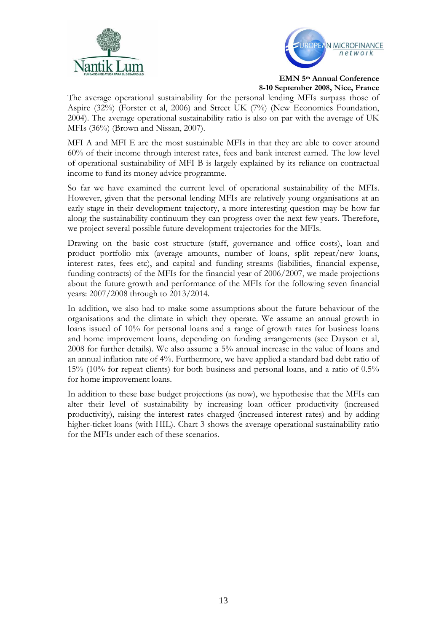



The average operational sustainability for the personal lending MFIs surpass those of Aspire (32%) (Forster et al, 2006) and Street UK (7%) (New Economics Foundation, 2004). The average operational sustainability ratio is also on par with the average of UK MFIs (36%) (Brown and Nissan, 2007).

MFI A and MFI E are the most sustainable MFIs in that they are able to cover around 60% of their income through interest rates, fees and bank interest earned. The low level of operational sustainability of MFI B is largely explained by its reliance on contractual income to fund its money advice programme.

So far we have examined the current level of operational sustainability of the MFIs. However, given that the personal lending MFIs are relatively young organisations at an early stage in their development trajectory, a more interesting question may be how far along the sustainability continuum they can progress over the next few years. Therefore, we project several possible future development trajectories for the MFIs.

Drawing on the basic cost structure (staff, governance and office costs), loan and product portfolio mix (average amounts, number of loans, split repeat/new loans, interest rates, fees etc), and capital and funding streams (liabilities, financial expense, funding contracts) of the MFIs for the financial year of 2006/2007, we made projections about the future growth and performance of the MFIs for the following seven financial years: 2007/2008 through to 2013/2014.

In addition, we also had to make some assumptions about the future behaviour of the organisations and the climate in which they operate. We assume an annual growth in loans issued of 10% for personal loans and a range of growth rates for business loans and home improvement loans, depending on funding arrangements (see Dayson et al, 2008 for further details). We also assume a 5% annual increase in the value of loans and an annual inflation rate of 4%. Furthermore, we have applied a standard bad debt ratio of 15% (10% for repeat clients) for both business and personal loans, and a ratio of 0.5% for home improvement loans.

In addition to these base budget projections (as now), we hypothesise that the MFIs can alter their level of sustainability by increasing loan officer productivity (increased productivity), raising the interest rates charged (increased interest rates) and by adding higher-ticket loans (with HIL). Chart 3 shows the average operational sustainability ratio for the MFIs under each of these scenarios.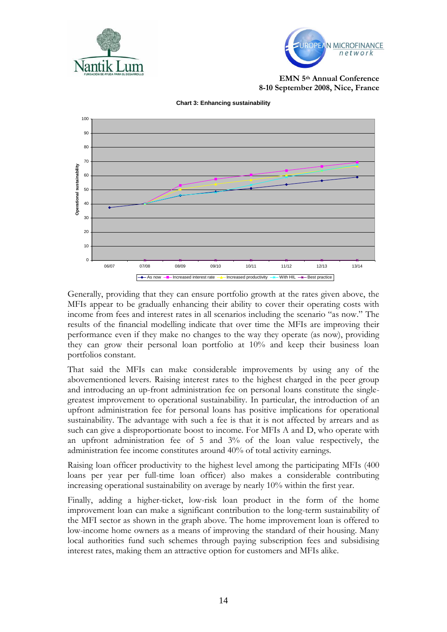



**EMN 5th Annual Conference 8-10 September 2008, Nice, France**



**Chart 3: Enhancing sustainability**

Generally, providing that they can ensure portfolio growth at the rates given above, the MFIs appear to be gradually enhancing their ability to cover their operating costs with income from fees and interest rates in all scenarios including the scenario "as now." The results of the financial modelling indicate that over time the MFIs are improving their performance even if they make no changes to the way they operate (as now), providing they can grow their personal loan portfolio at 10% and keep their business loan portfolios constant.

That said the MFIs can make considerable improvements by using any of the abovementioned levers. Raising interest rates to the highest charged in the peer group and introducing an up-front administration fee on personal loans constitute the singlegreatest improvement to operational sustainability. In particular, the introduction of an upfront administration fee for personal loans has positive implications for operational sustainability. The advantage with such a fee is that it is not affected by arrears and as such can give a disproportionate boost to income. For MFIs A and D, who operate with an upfront administration fee of 5 and 3% of the loan value respectively, the administration fee income constitutes around 40% of total activity earnings.

Raising loan officer productivity to the highest level among the participating MFIs (400 loans per year per full-time loan officer) also makes a considerable contributing increasing operational sustainability on average by nearly 10% within the first year.

Finally, adding a higher-ticket, low-risk loan product in the form of the home improvement loan can make a significant contribution to the long-term sustainability of the MFI sector as shown in the graph above. The home improvement loan is offered to low-income home owners as a means of improving the standard of their housing. Many local authorities fund such schemes through paying subscription fees and subsidising interest rates, making them an attractive option for customers and MFIs alike.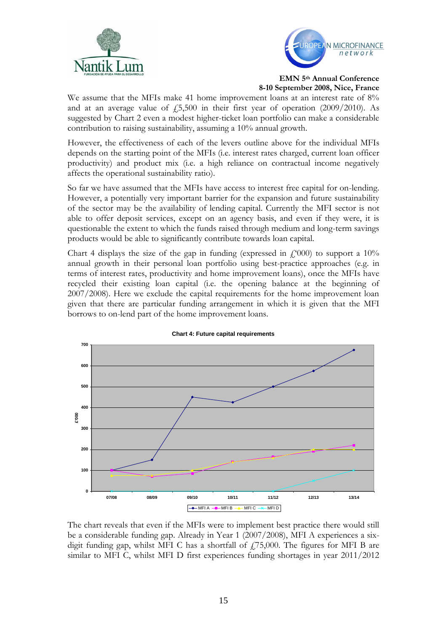



We assume that the MFIs make 41 home improvement loans at an interest rate of 8% and at an average value of  $\text{\emph{f}}_5,500$  in their first year of operation (2009/2010). As suggested by Chart 2 even a modest higher-ticket loan portfolio can make a considerable contribution to raising sustainability, assuming a 10% annual growth.

However, the effectiveness of each of the levers outline above for the individual MFIs depends on the starting point of the MFIs (i.e. interest rates charged, current loan officer productivity) and product mix (i.e. a high reliance on contractual income negatively affects the operational sustainability ratio).

So far we have assumed that the MFIs have access to interest free capital for on-lending. However, a potentially very important barrier for the expansion and future sustainability of the sector may be the availability of lending capital. Currently the MFI sector is not able to offer deposit services, except on an agency basis, and even if they were, it is questionable the extent to which the funds raised through medium and long-term savings products would be able to significantly contribute towards loan capital.

Chart 4 displays the size of the gap in funding (expressed in  $f(000)$  to support a 10% annual growth in their personal loan portfolio using best-practice approaches (e.g. in terms of interest rates, productivity and home improvement loans), once the MFIs have recycled their existing loan capital (i.e. the opening balance at the beginning of 2007/2008). Here we exclude the capital requirements for the home improvement loan given that there are particular funding arrangement in which it is given that the MFI borrows to on-lend part of the home improvement loans.



**Chart 4: Future capital requirements**

The chart reveals that even if the MFIs were to implement best practice there would still be a considerable funding gap. Already in Year 1 (2007/2008), MFI A experiences a sixdigit funding gap, whilst MFI C has a shortfall of  $f_1$ 75,000. The figures for MFI B are similar to MFI C, whilst MFI D first experiences funding shortages in year 2011/2012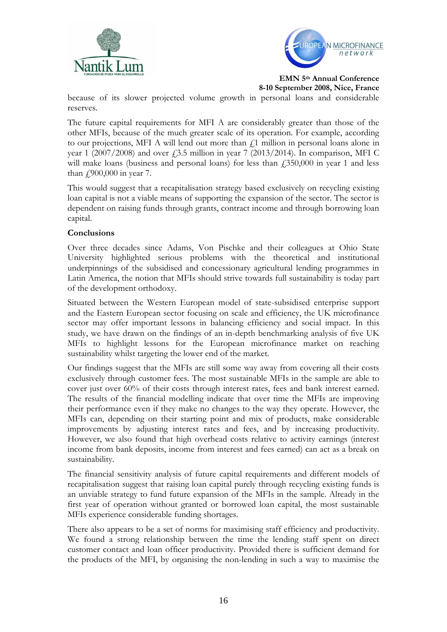



**EMN 5th Annual Conference** 

**8-10 September 2008, Nice, France**

because of its slower projected volume growth in personal loans and considerable reserves.

The future capital requirements for MFI A are considerably greater than those of the other MFIs, because of the much greater scale of its operation. For example, according to our projections, MFI A will lend out more than  $\mathcal{L}1$  million in personal loans alone in year 1 (2007/2008) and over  $\zeta$ 3.5 million in year 7 (2013/2014). In comparison, MFI C will make loans (business and personal loans) for less than  $\ell$ 350,000 in year 1 and less than  $\text{\textsterling}900,000$  in year 7.

This would suggest that a recapitalisation strategy based exclusively on recycling existing loan capital is not a viable means of supporting the expansion of the sector. The sector is dependent on raising funds through grants, contract income and through borrowing loan capital.

## **Conclusions**

Over three decades since Adams, Von Pischke and their colleagues at Ohio State University highlighted serious problems with the theoretical and institutional underpinnings of the subsidised and concessionary agricultural lending programmes in Latin America, the notion that MFIs should strive towards full sustainability is today part of the development orthodoxy.

Situated between the Western European model of state-subsidised enterprise support and the Eastern European sector focusing on scale and efficiency, the UK microfinance sector may offer important lessons in balancing efficiency and social impact. In this study, we have drawn on the findings of an in-depth benchmarking analysis of five UK MFIs to highlight lessons for the European microfinance market on reaching sustainability whilst targeting the lower end of the market.

Our findings suggest that the MFIs are still some way away from covering all their costs exclusively through customer fees. The most sustainable MFIs in the sample are able to cover just over 60% of their costs through interest rates, fees and bank interest earned. The results of the financial modelling indicate that over time the MFIs are improving their performance even if they make no changes to the way they operate. However, the MFIs can, depending on their starting point and mix of products, make considerable improvements by adjusting interest rates and fees, and by increasing productivity. However, we also found that high overhead costs relative to activity earnings (interest income from bank deposits, income from interest and fees earned) can act as a break on sustainability.

The financial sensitivity analysis of future capital requirements and different models of recapitalisation suggest that raising loan capital purely through recycling existing funds is an unviable strategy to fund future expansion of the MFIs in the sample. Already in the first year of operation without granted or borrowed loan capital, the most sustainable MFIs experience considerable funding shortages.

There also appears to be a set of norms for maximising staff efficiency and productivity. We found a strong relationship between the time the lending staff spent on direct customer contact and loan officer productivity. Provided there is sufficient demand for the products of the MFI, by organising the non-lending in such a way to maximise the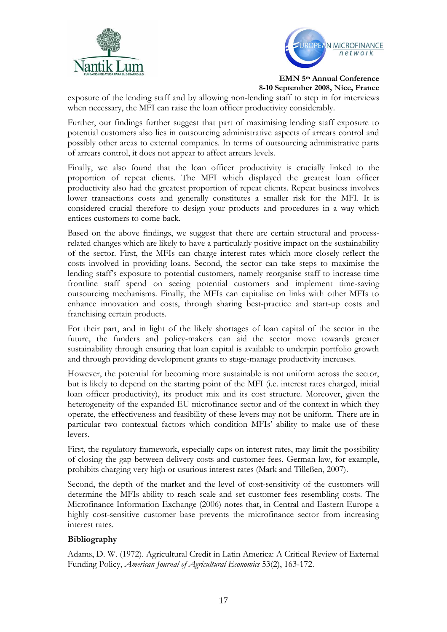



exposure of the lending staff and by allowing non-lending staff to step in for interviews when necessary, the MFI can raise the loan officer productivity considerably.

Further, our findings further suggest that part of maximising lending staff exposure to potential customers also lies in outsourcing administrative aspects of arrears control and possibly other areas to external companies. In terms of outsourcing administrative parts of arrears control, it does not appear to affect arrears levels.

Finally, we also found that the loan officer productivity is crucially linked to the proportion of repeat clients. The MFI which displayed the greatest loan officer productivity also had the greatest proportion of repeat clients. Repeat business involves lower transactions costs and generally constitutes a smaller risk for the MFI. It is considered crucial therefore to design your products and procedures in a way which entices customers to come back.

Based on the above findings, we suggest that there are certain structural and processrelated changes which are likely to have a particularly positive impact on the sustainability of the sector. First, the MFIs can charge interest rates which more closely reflect the costs involved in providing loans. Second, the sector can take steps to maximise the lending staff's exposure to potential customers, namely reorganise staff to increase time frontline staff spend on seeing potential customers and implement time-saving outsourcing mechanisms. Finally, the MFIs can capitalise on links with other MFIs to enhance innovation and costs, through sharing best-practice and start-up costs and franchising certain products.

For their part, and in light of the likely shortages of loan capital of the sector in the future, the funders and policy-makers can aid the sector move towards greater sustainability through ensuring that loan capital is available to underpin portfolio growth and through providing development grants to stage-manage productivity increases.

However, the potential for becoming more sustainable is not uniform across the sector, but is likely to depend on the starting point of the MFI (i.e. interest rates charged, initial loan officer productivity), its product mix and its cost structure. Moreover, given the heterogeneity of the expanded EU microfinance sector and of the context in which they operate, the effectiveness and feasibility of these levers may not be uniform. There are in particular two contextual factors which condition MFIs' ability to make use of these levers.

First, the regulatory framework, especially caps on interest rates, may limit the possibility of closing the gap between delivery costs and customer fees. German law, for example, prohibits charging very high or usurious interest rates (Mark and Tilleßen, 2007).

Second, the depth of the market and the level of cost-sensitivity of the customers will determine the MFIs ability to reach scale and set customer fees resembling costs. The Microfinance Information Exchange (2006) notes that, in Central and Eastern Europe a highly cost-sensitive customer base prevents the microfinance sector from increasing interest rates.

# **Bibliography**

Adams, D. W. (1972). Agricultural Credit in Latin America: A Critical Review of External Funding Policy, *American Journal of Agricultural Economics* 53(2), 163-172.